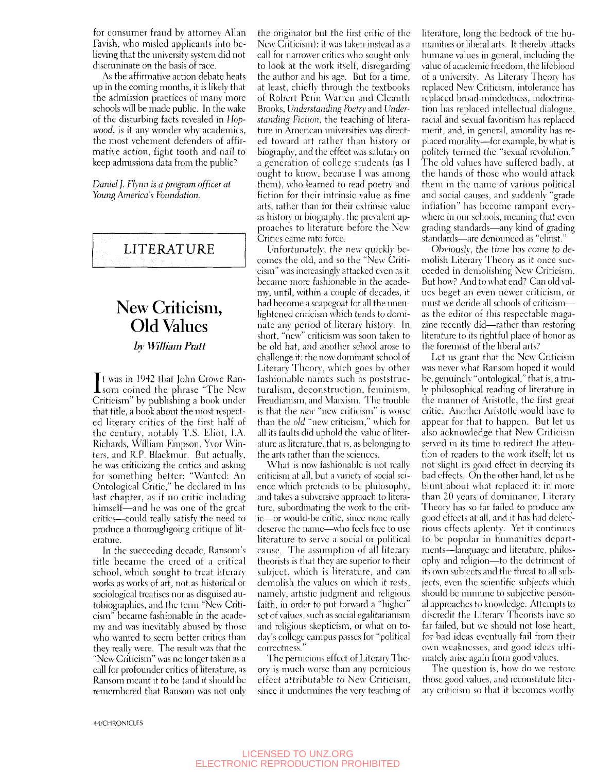for consumer fraud by attorney Allan Favish, who misled applicants into believing that the university system did not discriminate on the basis of race.

As the affirmative action debate heats up in the coming months, it is likely that the admission practices of many more schools will be made public. In the wake of the disturbing facts revealed in *Hopwood,* is it any wonder why academics, the most vehement defenders of affirmative action, fight tooth and nail to keep admissions data from the public?

*Daniel j . Flynn is a program officer at Young America's Foundation.* 

## LITERATURE

## New Criticism, Old Values *bv William Pratt*

It was in 1942 that John Crowe Ransom coined the phrase "The New t was in 1942 that John Crowe Ran-Criticism" by publishing a book under that title, a book about the most respected literary critics of the first half of the century, notably T.S. Eliot, LA. Richards, William Empson, Yvor Winters, and R.P. Blackmur. But actually, he was criticizing the critics and asking for something better; "Wanted: An Ontological Critic," he declared in his last chapter, as if no critic including himself—and he was one of the great critics—could really satisfy the need to produce a thoroughgoing critique of literature.

In the succeeding decade, Ransom's title became the creed of a critical school, which sought to treat literary works as works of art, not as historical or sociological treatises nor as disguised autobiographies, and the term "New Criticism" became fashionable in the academy and was inevitably abused by those who wanted to seem better critics than they really were. The result was that the "New Criticism" was no longer taken as a call for profounder critics of literature, as Ransom meant it to be (and it should be remembered that Ransom was not only

the originator but the first critic of the New Criticism); it was taken instead as a call for narrower critics who sought only to look at the work itself, disregarding the author and his age. But for a time, at least, chieflv through the textbooks of Robert Penn Warren and Cleanth Brooks, *Understanding Poetry* and *Understanding Fiction,* the teaching of literature in American universities was directed toward art rather than history or biography, and the effect was salutary on a generation of college students (as 1 ought to know, because I was among them), who learned to read poetry and fiction for their intrinsic value as fine arts, rather than for their extrinsic value as history or biography, the prevalent approaches to literature before the New Critics came into force.

I'nfortunatelv, the new quickly becomes the old, and so the "New Criticism" was increasingly attacked even as it became more fashionable in the academy, until, within a couple of decades, it had become a scapegoat for all the unenlightened criticism which tends to dominate any period of literarv history. In short, "new" criticism was soon taken to be old hat, and another school arose to challenge it; the now dominant school of Literarv Theorv, which goes bv other fashionable names such as poststructuralism, dcconstruetion, feminism, Freudianism, and Marxism. The trouble is that the *new* "new criticism" is worse than the *old* "new criticism," which for all its faults did uphold the value of literature as literature, that is, as belonging to the arts rather than the sciences.

What is now fashionable is not really criticism at all, but a variety of social science which pretends to be philosophv, and takes a subversive approach to literature, subordinating the work to the critic—or would-be critic, since none reallv deserve the name—who feels free to use literature to serve a social or political cause. The assumption of all literary theorists is that they are superior to their subject, which is literature, and can demolish the values on which it rests, namely, artistic judgment and religious faith, in order to put forward a "higher" set of values, such as social egalitarianism and religious skepticism, or what on today's college campus passes for "political correctness."

The pernicious effect of Literary Theory is much worse than any pernicious effect attributable to New Criticism, since it undermines the very teaching of literature, long the bedrock of the humanities or liberal arts. It thereby attacks humane values in general, including the value of academic freedom, the lifeblood of a university. As Literarv Theory has replaced New Criticism, intolerance has replaced broad-mindedness, indoctrination has replaced intellectual dialogue, racial and sexual favoritism has replaced merit, and, in general, amoralitv has replaced morality—for example, by what is politely termed the "sexual revolution." The old values have suffered badlv, at the hands of those who would attack them in the name of xarious political and social causes, and suddenlv "grade inflation" has become rampant everywhere in our schools, meaning that even grading standards—any kind of grading standards—are denounced as "elitist."

Obvioush', the time has come to demolish Literary Theory as it once succeeded in demolishing New Criticism. But how? And to what end? Can old valucs beget an even newer criticism, or must we deride all schools of criticism as the editor of this respectable magazine recently did—rather than restoring literature to its rightful place of honor as the foremost of the liberal arts?

Let us grant that the New Criticism was never what Ransom hoped it would be, genuinelv "ontological," that is, a truly philosophical reading of literature in the manner of Aristotle, the first great critic. Another Aristotle would have to appear for that to happen. But let us also acknowledge that New Criticism served in its time to redirect the attention of readers to the work itself; let us not slight its good effect in decrying its bad effects. On the other hand, let us be blunt about what replaced it; in more than 20 years of dominance, Literary Theory has so far failed to produce any good effects at all, and it has had deleterious effects aplenty. Yet it continues to be popular in humanities departments—language and literature, philosophy and religion—to the detriment of its own subjects and the threat to all subjects, even the scientific subjects which should be immune to subjective personal approaches to knowledge. Attempts to discredit the Literary Theorists have so far failed, but we should not lose heart, for bad ideas eventually fail from their own weaknesses, and good ideas ultimately arise again from good values.

The question is, how do we restore those good values, and reconstitute literary criticism so that it becomes worthy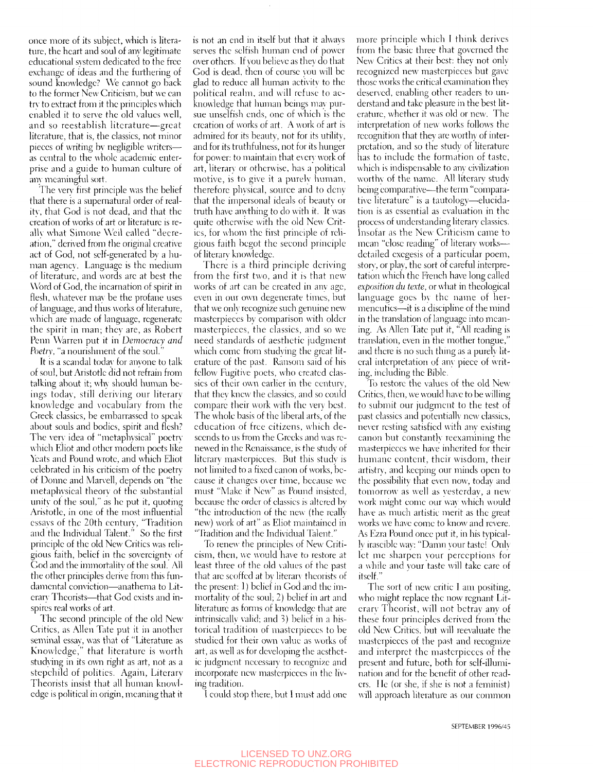once more of its subject, which is literature, the heart and soul of any legitimate educational system dedicated to the free exchange of ideas and the furthering of sound knowledge? We cannot go back to the former New Criticism, but we can try to extract from it the principles which enabled it to serve the old values well, and so reestablish literature—great literature, that is, the classics, not minor pieces of writing by negligible writers as central to the whole academic enterprise and a guide to human culture of any meaningful sort.

The very first principle was the belief that there is a supernatural order of reality, that God is not dead, and that the creation of works of art or literature is really what Simone Weil called "decreation," derived from the original creative act of God, not self-generated bv a human agency. Language is the medium of literature, and words are at best the Word of God, the incarnation of spirit in flesh, whatever may be the profane uses of language, and thus works of literature, which are made of language, regenerate the spirit in man; thcv are, as Robert Penn Warren put it in *Democracy and Poetrv,* "a nourishment of the soul."

It is a scandal todav for anyone to talk of soul, but Aristotle did not refrain from talking about it; why should human beings today, still deriving our literary knowledge and vocabulary from the Greek classics, be embarrassed to speak about souls and bodies, spirit and flesh? The very idea of "metaphysical" poetry which Eliot and other modern poets like Yeats and Pound wrote, and which Eliot celebrated in his criticism of the poetry of Donne and Marvell, depends on "the metaphysical theor\' of the substantial unity of the soul," as he put it, quoting Aristotle, in one of the most influential essays of the 20th century, "Tradition and the Individual Talent." So the first principle of the old New Critics was religious faith, belief in the sovereignty of God and the immortality of the soul. All the other principles derive from this fundamental conviction—anathema to Literary Theorists—that God exists and inspires real works of art.

The second principle of the old New Critics, as Allen Tate put it in another seminal essav, was that of "Literature as Knowledge," that literature is worth studying in its own right as art, not as a stepchild of politics. Again, Literary Theorists insist that all human knowledge is political in origin, meaning that it is not an end in itself but that it always serves the selfish human end of power over others. If you believe as they do that God is dead, then of course vou will be glad to reduce all human activity to the political realm, and will refuse to acknowledge that human beings may pursue unselfish ends, one of which is the creation of works of art. A work of art is admired for its beauty, not for its utility, and for its truthfulness, not for its hunger for power: to maintain that every work of art, literary or otherwise, has a political motive, is to give it a purely human, therefore pliysical, source and to deny that the impersonal ideals of beauty or truth have amthing to do with it. It was quite otherwise with the old New Critics, for whom the first principle of religious faith begot the second principle of literary knowledge.

There is a third principle deriving from the first two, and it is that new works of art can be created in any age, even in our own degenerate times, but that we only recognize such genuine new masterpieces by comparison with older masterpieces, the classics, and so we need standards of aesthetic judgment which come from studying the great literature of the past. Ransom said of his fellow Fugitive poets, who created classics of their own earlier in the century, that thev knew the classics, and so could compare their work with the very best. The whole basis of the liberal arts, of the education of free citizens, which descends to us from the Greeks and was renewed in the Renaissance, is the study of literary masterpieces. But this study is not limited to a fixed canon of works, because it changes over time, because we must "Make it New" as Pound insisted, because the order of classics is altered bv "the introduction of the new (the really new) work of art" as Eliot maintained in "Tradition and the Individual Talent."

To renew the principles of New Criticism, then, we would have to restore at least three of the old values of the past that are scoffed at by literary theorists of the present: I) belief in God and the immortality of the soul; 2) belief in art and literature as forms of knowledge that are intrinsically valid; and 3) belief in a historical tradition of masterpieces to be studied for their own value as works of art, as well as for developing the aesthetic judgment necessary to recognize and incorporate new masterpieces in the living tradition.

I could stop there, but I must add one

more principle which I think derives from the basic three that governed the New Critics at their best: they not only recognized new masterpieces but gave those works the critical examination the\' deserved, enabling other readers to understand and take pleasure in the best literature, whether it was old or new. The interpretation of new works follows the recognition that they are worthy of interpretation, and so the study of literature has to include the formation of taste, which is indispensable to any civilization worthy of the name. All literary study being comparative—the term "comparative literature" is a tautology—elucidation is as essential as evaluation in the process of understanding literary classics. Insofar as the New Criticism came to mean "close reading" of literary works detailed exegesis of a particular poem, storv, or play, the sort of careful interpretation which the French have long called *exposition du texte,* or what in theological language goes bv the name of hermencuties—it is a discipline of the mind in the translation of language into meaning. As Allen Tate put it, "All reading is translation, even in the mother tongue,' and there is no such thing as a purely literal interpretation of any piece of writing, including the Bible.

To restore the values of the old New-Critics, then, we would have to be willing to submit our judgment to the test of past classics and potentially new classics, never resting satisfied with any existing canon but constantly reexamining the masterpieces we have inherited for their humane content, their wisdom, their artistry, and keeping our minds open to the possibility that even now, today and tomorrow as well as vestcrdav, a new work might come our way which would have as much artistic merit as the great works we have come to know and revere. As Ezra Pound once put it, in his typically irascible way: "Damn your taste! Only let me sharpen your perceptions for a while and your taste will take care of itself."

The sort of new critic I am positing, who might replace the now regnant Literary Theorist, will not betray any of these four principles derived from the old New Critics, but will reevaluate the masterpieces of the past and recognize and interpret the masterpieces of the present and future, both for self-illumination and for the benefit of other readers. He (or she, if she is not a feminist) will approach literature as our common